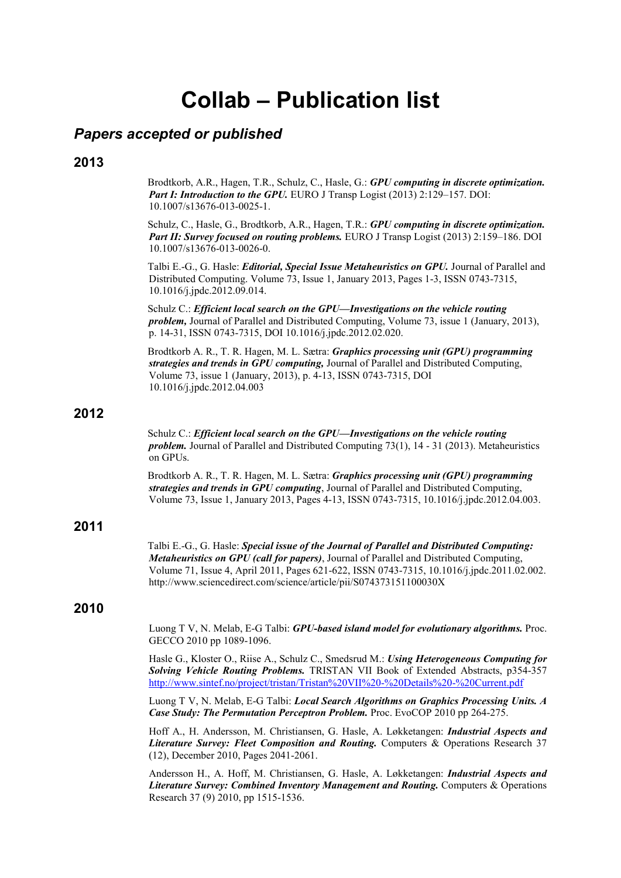# **Collab – Publication list**

# *Papers accepted or published*

#### **2013**

Brodtkorb, A.R., Hagen, T.R., Schulz, C., Hasle, G.: *GPU computing in discrete optimization. Part I: Introduction to the GPU.* EURO J Transp Logist (2013) 2:129-157. DOI: 10.1007/s13676-013-0025-1.

Schulz, C., Hasle, G., Brodtkorb, A.R., Hagen, T.R.: *GPU computing in discrete optimization. Part II: Survey focused on routing problems.* EURO J Transp Logist (2013) 2:159–186. DOI 10.1007/s13676-013-0026-0.

Talbi E.-G., G. Hasle: *Editorial, Special Issue Metaheuristics on GPU.* Journal of Parallel and Distributed Computing. Volume 73, Issue 1, January 2013, Pages 1-3, ISSN 0743-7315, 10.1016/j.jpdc.2012.09.014.

Schulz C.: *Efficient local search on the GPU—Investigations on the vehicle routing problem,* Journal of Parallel and Distributed Computing, Volume 73, issue 1 (January, 2013), p. 14-31, ISSN 0743-7315, DOI 10.1016/j.jpdc.2012.02.020.

Brodtkorb A. R., T. R. Hagen, M. L. Sætra: *Graphics processing unit (GPU) programming strategies and trends in GPU computing,* Journal of Parallel and Distributed Computing, Volume 73, issue 1 (January, 2013), p. 4-13, ISSN 0743-7315, DOI 10.1016/j.jpdc.2012.04.003

### **2012**

Schulz C.: *Efficient local search on the GPU—Investigations on the vehicle routing problem.* Journal of Parallel and Distributed Computing 73(1), 14 - 31 (2013). Metaheuristics on GPUs.

Brodtkorb A. R., T. R. Hagen, M. L. Sætra: *Graphics processing unit (GPU) programming strategies and trends in GPU computing*, Journal of Parallel and Distributed Computing, Volume 73, Issue 1, January 2013, Pages 4-13, ISSN 0743-7315, 10.1016/j.jpdc.2012.04.003.

#### **2011**

Talbi E.-G., G. Hasle: *Special issue of the Journal of Parallel and Distributed Computing: Metaheuristics on GPU (call for papers)*, Journal of Parallel and Distributed Computing, Volume 71, Issue 4, April 2011, Pages 621-622, ISSN 0743-7315, 10.1016/j.jpdc.2011.02.002. http://www.sciencedirect.com/science/article/pii/S074373151100030X

#### **2010**

Luong T V, N. Melab, E-G Talbi: *GPU-based island model for evolutionary algorithms.* Proc. GECCO 2010 pp 1089-1096.

Hasle G., Kloster O., Riise A., Schulz C., Smedsrud M.: *Using Heterogeneous Computing for Solving Vehicle Routing Problems.* TRISTAN VII Book of Extended Abstracts, p354-357 <http://www.sintef.no/project/tristan/Tristan%20VII%20-%20Details%20-%20Current.pdf>

Luong T V, N. Melab, E-G Talbi: *Local Search Algorithms on Graphics Processing Units. A Case Study: The Permutation Perceptron Problem.* Proc. EvoCOP 2010 pp 264-275.

Hoff A., H. Andersson, M. Christiansen, G. Hasle, A. Løkketangen: *Industrial Aspects and Literature Survey: Fleet Composition and Routing.* Computers & Operations Research 37 (12), December 2010, Pages 2041-2061.

Andersson H., A. Hoff, M. Christiansen, G. Hasle, A. Løkketangen: *Industrial Aspects and Literature Survey: Combined Inventory Management and Routing.* Computers & Operations Research 37 (9) 2010, pp 1515-1536.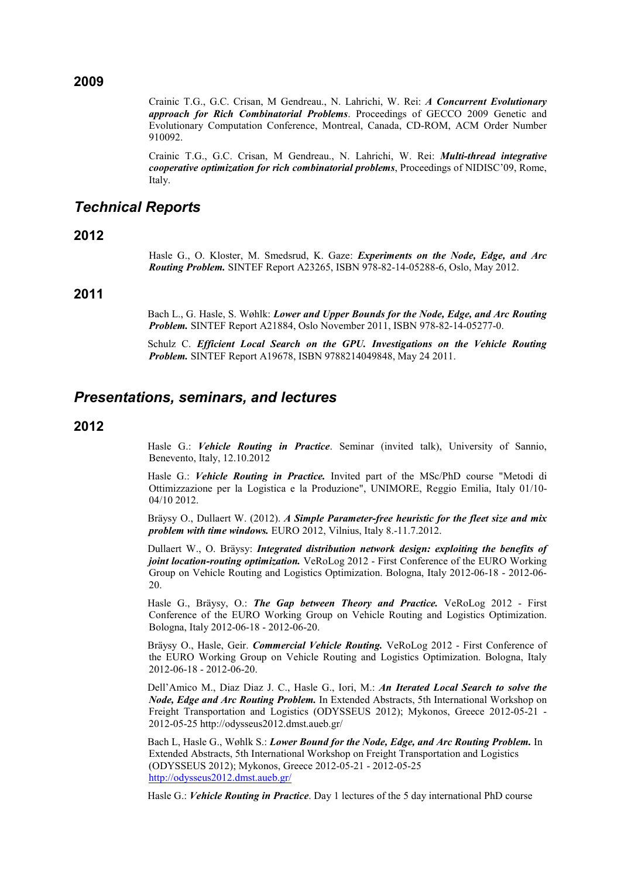**2009**

Crainic T.G., G.C. Crisan, M Gendreau., N. Lahrichi, W. Rei: *A Concurrent Evolutionary approach for Rich Combinatorial Problems*. Proceedings of GECCO 2009 Genetic and Evolutionary Computation Conference, Montreal, Canada, CD-ROM, ACM Order Number 910092.

Crainic T.G., G.C. Crisan, M Gendreau., N. Lahrichi, W. Rei: *Multi-thread integrative cooperative optimization for rich combinatorial problems*, Proceedings of NIDISC'09, Rome, Italy.

# *Technical Reports*

**2012**

Hasle G., O. Kloster, M. Smedsrud, K. Gaze: *Experiments on the Node, Edge, and Arc Routing Problem.* SINTEF Report A23265, ISBN 978-82-14-05288-6, Oslo, May 2012.

## **2011**

Bach L., G. Hasle, S. Wøhlk: *Lower and Upper Bounds for the Node, Edge, and Arc Routing Problem.* SINTEF Report A21884, Oslo November 2011, ISBN 978-82-14-05277-0.

Schulz C. *Efficient Local Search on the GPU. Investigations on the Vehicle Routing Problem.* SINTEF Report A19678, ISBN 9788214049848, May 24 2011.

## *Presentations, seminars, and lectures*

#### **2012**

Hasle G.: *Vehicle Routing in Practice*. Seminar (invited talk), University of Sannio, Benevento, Italy, 12.10.2012

Hasle G.: *Vehicle Routing in Practice.* Invited part of the MSc/PhD course "Metodi di Ottimizzazione per la Logistica e la Produzione", UNIMORE, Reggio Emilia, Italy 01/10- 04/10 2012.

Bräysy O., Dullaert W. (2012). *A Simple Parameter-free heuristic for the fleet size and mix problem with time windows.* EURO 2012, Vilnius, Italy 8.-11.7.2012.

Dullaert W., O. Bräysy: *Integrated distribution network design: exploiting the benefits of joint location-routing optimization.* VeRoLog 2012 - First Conference of the EURO Working Group on Vehicle Routing and Logistics Optimization. Bologna, Italy 2012-06-18 - 2012-06- 20.

Hasle G., Bräysy, O.: *The Gap between Theory and Practice.* VeRoLog 2012 - First Conference of the EURO Working Group on Vehicle Routing and Logistics Optimization. Bologna, Italy 2012-06-18 - 2012-06-20.

Bräysy O., Hasle, Geir. *Commercial Vehicle Routing.* VeRoLog 2012 - First Conference of the EURO Working Group on Vehicle Routing and Logistics Optimization. Bologna, Italy 2012-06-18 - 2012-06-20.

Dell'Amico M., Diaz Diaz J. C., Hasle G., Iori, M.: *An Iterated Local Search to solve the Node, Edge and Arc Routing Problem.* In Extended Abstracts, 5th International Workshop on Freight Transportation and Logistics (ODYSSEUS 2012); Mykonos, Greece 2012-05-21 - 2012-05-25 http://odysseus2012.dmst.aueb.gr/

Bach L, Hasle G., Wøhlk S.: *Lower Bound for the Node, Edge, and Arc Routing Problem.* In Extended Abstracts, 5th International Workshop on Freight Transportation and Logistics (ODYSSEUS 2012); Mykonos, Greece 2012-05-21 - 2012-05-25 <http://odysseus2012.dmst.aueb.gr/>

Hasle G.: *Vehicle Routing in Practice*. Day 1 lectures of the 5 day international PhD course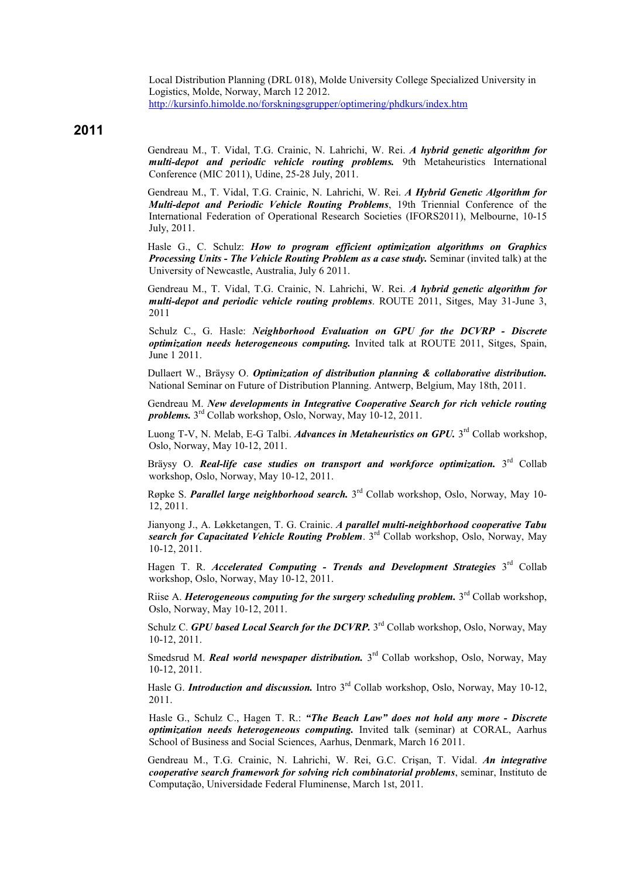Local Distribution Planning (DRL 018), Molde University College Specialized University in Logistics, Molde, Norway, March 12 2012. <http://kursinfo.himolde.no/forskningsgrupper/optimering/phdkurs/index.htm>

**2011**

Gendreau M., T. Vidal, T.G. Crainic, N. Lahrichi, W. Rei. *A hybrid genetic algorithm for multi-depot and periodic vehicle routing problems.* 9th Metaheuristics International Conference (MIC 2011), Udine, 25-28 July, 2011.

Gendreau M., T. Vidal, T.G. Crainic, N. Lahrichi, W. Rei. *A Hybrid Genetic Algorithm for Multi-depot and Periodic Vehicle Routing Problems*, 19th Triennial Conference of the International Federation of Operational Research Societies (IFORS2011), Melbourne, 10-15 July, 2011.

Hasle G., C. Schulz: *How to program efficient optimization algorithms on Graphics Processing Units - The Vehicle Routing Problem as a case study.* Seminar (invited talk) at the University of Newcastle, Australia, July 6 2011.

Gendreau M., T. Vidal, T.G. Crainic, N. Lahrichi, W. Rei. *A hybrid genetic algorithm for multi-depot and periodic vehicle routing problems*. ROUTE 2011, Sitges, May 31-June 3, 2011

Schulz C., G. Hasle: *Neighborhood Evaluation on GPU for the DCVRP - Discrete optimization needs heterogeneous computing.* Invited talk at ROUTE 2011, Sitges, Spain, June 1 2011.

Dullaert W., Bräysy O. *Optimization of distribution planning & collaborative distribution.* National Seminar on Future of Distribution Planning. Antwerp, Belgium, May 18th, 2011.

Gendreau M. *New developments in Integrative Cooperative Search for rich vehicle routing problems.* 3rd Collab workshop, Oslo, Norway, May 10-12, 2011.

Luong T-V, N. Melab, E-G Talbi. *Advances in Metaheuristics on GPU*, 3<sup>rd</sup> Collab workshop, Oslo, Norway, May 10-12, 2011.

Bräysy O. *Real-life case studies on transport and workforce optimization*. 3<sup>rd</sup> Collab workshop, Oslo, Norway, May 10-12, 2011.

Røpke S. *Parallel large neighborhood search.* 3rd Collab workshop, Oslo, Norway, May 10- 12, 2011.

Jianyong J., A. Løkketangen, T. G. Crainic. *A parallel multi-neighborhood cooperative Tabu search for Capacitated Vehicle Routing Problem*. 3rd Collab workshop, Oslo, Norway, May 10-12, 2011.

Hagen T. R. *Accelerated Computing - Trends and Development Strategies* 3<sup>rd</sup> Collab workshop, Oslo, Norway, May 10-12, 2011.

Riise A. *Heterogeneous computing for the surgery scheduling problem.* 3rd Collab workshop, Oslo, Norway, May 10-12, 2011.

Schulz C. *GPU based Local Search for the DCVRP*. 3<sup>rd</sup> Collab workshop, Oslo, Norway, May 10-12, 2011.

Smedsrud M. *Real world newspaper distribution*, 3<sup>rd</sup> Collab workshop, Oslo, Norway, May 10-12, 2011.

Hasle G. *Introduction and discussion*. Intro 3<sup>rd</sup> Collab workshop, Oslo, Norway, May 10-12, 2011.

Hasle G., Schulz C., Hagen T. R.: *"The Beach Law" does not hold any more - Discrete optimization needs heterogeneous computing.* Invited talk (seminar) at CORAL, Aarhus School of Business and Social Sciences, Aarhus, Denmark, March 16 2011.

Gendreau M., T.G. Crainic, N. Lahrichi, W. Rei, G.C. Crişan, T. Vidal. *An integrative cooperative search framework for solving rich combinatorial problems*, seminar, Instituto de Computação, Universidade Federal Fluminense, March 1st, 2011.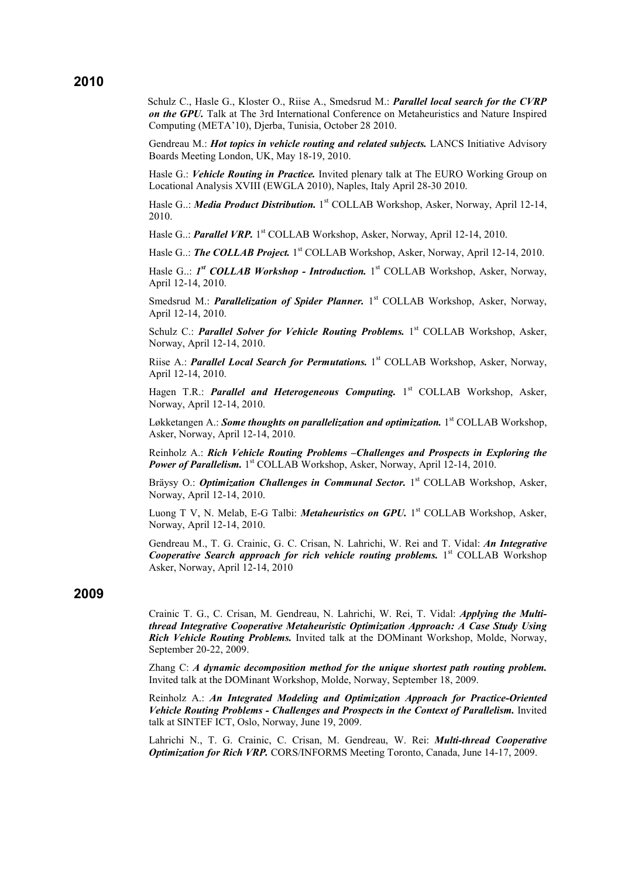#### **2010**

Schulz C., Hasle G., Kloster O., Riise A., Smedsrud M.: *Parallel local search for the CVRP on the GPU.* Talk at The 3rd International Conference on Metaheuristics and Nature Inspired Computing (META'10), Djerba, Tunisia, October 28 2010.

Gendreau M.: *Hot topics in vehicle routing and related subjects.* LANCS Initiative Advisory Boards Meeting London, UK, May 18-19, 2010.

Hasle G.: *Vehicle Routing in Practice.* Invited plenary talk at The EURO Working Group on Locational Analysis XVIII (EWGLA 2010), Naples, Italy April 28-30 2010.

Hasle G..: *Media Product Distribution.* 1<sup>st</sup> COLLAB Workshop, Asker, Norway, April 12-14, 2010.

Hasle G..: *Parallel VRP.* 1<sup>st</sup> COLLAB Workshop, Asker, Norway, April 12-14, 2010.

Hasle G..: *The COLLAB Project.* 1<sup>st</sup> COLLAB Workshop, Asker, Norway, April 12-14, 2010.

Hasle G..: *1<sup>st</sup> COLLAB Workshop - Introduction*. 1<sup>st</sup> COLLAB Workshop, Asker, Norway, April 12-14, 2010.

Smedsrud M.: *Parallelization of Spider Planner*. 1<sup>st</sup> COLLAB Workshop, Asker, Norway, April 12-14, 2010.

Schulz C.: *Parallel Solver for Vehicle Routing Problems*. 1<sup>st</sup> COLLAB Workshop, Asker, Norway, April 12-14, 2010.

Riise A.: *Parallel Local Search for Permutations*. 1<sup>st</sup> COLLAB Workshop, Asker, Norway, April 12-14, 2010.

Hagen T.R.: *Parallel and Heterogeneous Computing*. 1<sup>st</sup> COLLAB Workshop, Asker, Norway, April 12-14, 2010.

Løkketangen A.: **Some thoughts on parallelization and optimization.** 1<sup>st</sup> COLLAB Workshop, Asker, Norway, April 12-14, 2010.

Reinholz A.: *[Rich Vehicle Routing Problems –Challenges and Prospects in Exploring the](http://www.sintef.no/project/Collab/Presentations/Reinholz%20Collab%2012.04.2010%20Final%20Handout.pdf)  [Power of Parallelism.](http://www.sintef.no/project/Collab/Presentations/Reinholz%20Collab%2012.04.2010%20Final%20Handout.pdf)* 1<sup>st</sup> COLLAB Workshop, Asker, Norway, April 12-14, 2010.

Bräysy O.: *Optimization Challenges in Communal Sector*. 1<sup>st</sup> COLLAB Workshop, Asker, Norway, April 12-14, 2010.

Luong T V, N. Melab, E-G Talbi: *Metaheuristics on GPU*. 1<sup>st</sup> COLLAB Workshop, Asker, Norway, April 12-14, 2010.

Gendreau M., T. G. Crainic, G. C. Crisan, N. Lahrichi, W. Rei and T. Vidal: *An Integrative*  **Cooperative Search approach for rich vehicle routing problems.** 1<sup>st</sup> COLLAB Workshop Asker, Norway, April 12-14, 2010

#### **2009**

Crainic T. G., C. Crisan, M. Gendreau, N. Lahrichi, W. Rei, T. Vidal: *Applying the Multithread Integrative Cooperative Metaheuristic Optimization Approach: A Case Study Using Rich Vehicle Routing Problems.* Invited talk at the DOMinant Workshop, Molde, Norway, September 20-22, 2009.

Zhang C: *A dynamic decomposition method for the unique shortest path routing problem.* Invited talk at the DOMinant Workshop, Molde, Norway, September 18, 2009.

Reinholz A.: *An Integrated Modeling and Optimization Approach for Practice-Oriented Vehicle Routing Problems - Challenges and Prospects in the Context of Parallelism.* Invited talk at SINTEF ICT, Oslo, Norway, June 19, 2009.

Lahrichi N., T. G. Crainic, C. Crisan, M. Gendreau, W. Rei: *Multi-thread Cooperative Optimization for Rich VRP.* CORS/INFORMS Meeting Toronto, Canada, June 14-17, 2009.